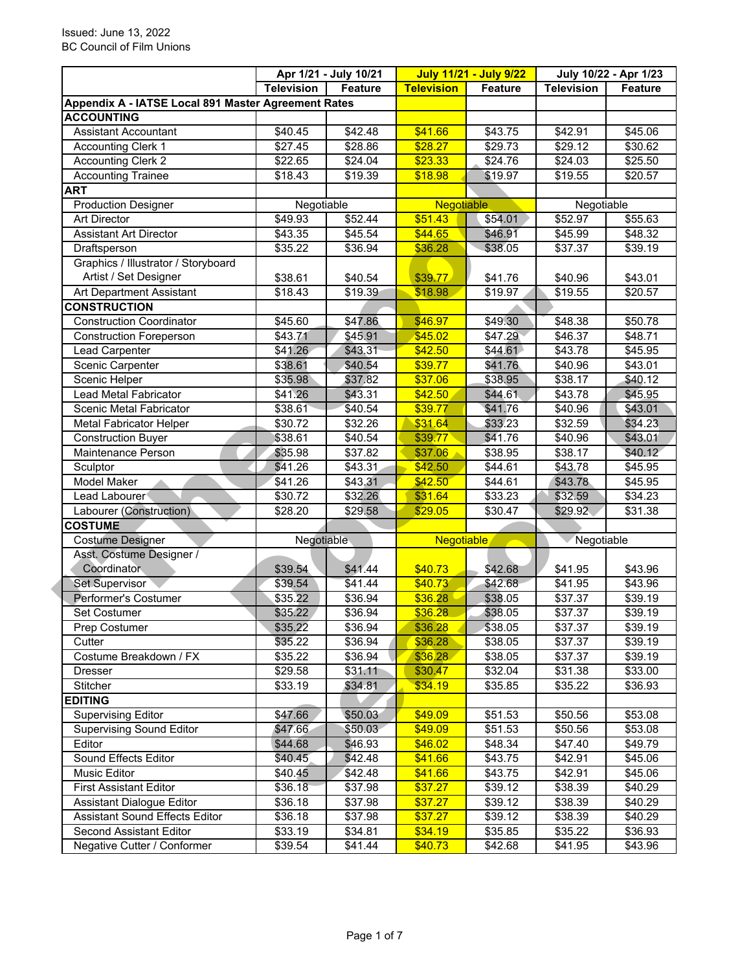|                                                     |                     | Apr 1/21 - July 10/21 |                   | <b>July 11/21 - July 9/22</b> | July 10/22 - Apr 1/23 |                |
|-----------------------------------------------------|---------------------|-----------------------|-------------------|-------------------------------|-----------------------|----------------|
|                                                     | <b>Television</b>   | Feature               | <b>Television</b> | <b>Feature</b>                | <b>Television</b>     | <b>Feature</b> |
| Appendix A - IATSE Local 891 Master Agreement Rates |                     |                       |                   |                               |                       |                |
| <b>ACCOUNTING</b>                                   |                     |                       |                   |                               |                       |                |
| <b>Assistant Accountant</b>                         | \$40.45             | \$42.48               | \$41.66           | \$43.75                       | \$42.91               | \$45.06        |
| <b>Accounting Clerk 1</b>                           | \$27.45             | \$28.86               | \$28.27           | \$29.73                       | \$29.12               | \$30.62        |
| <b>Accounting Clerk 2</b>                           | \$22.65             | \$24.04               | \$23.33           | \$24.76                       | $\overline{$}24.03$   | \$25.50        |
| <b>Accounting Trainee</b>                           | \$18.43             | \$19.39               | \$18.98           | \$19.97                       | \$19.55               | \$20.57        |
| <b>ART</b>                                          |                     |                       |                   |                               |                       |                |
| <b>Production Designer</b>                          | Negotiable          |                       | Negotiable        |                               | Negotiable            |                |
| <b>Art Director</b>                                 | \$49.93             | \$52.44               | \$51.43           | \$54.01                       | \$52.97               | \$55.63        |
| <b>Assistant Art Director</b>                       | \$43.35             | \$45.54               | \$44.65           | \$46.91                       | \$45.99               | \$48.32        |
| Draftsperson                                        | \$35.22             | \$36.94               | \$36.28           | \$38.05                       | \$37.37               | \$39.19        |
| Graphics / Illustrator / Storyboard                 |                     |                       |                   |                               |                       |                |
| Artist / Set Designer                               | \$38.61             | \$40.54               | \$39.77           | \$41.76                       | \$40.96               | \$43.01        |
| Art Department Assistant                            | $\overline{$}18.43$ | \$19.39               | \$18.98           | \$19.97                       | \$19.55               | \$20.57        |
| <b>CONSTRUCTION</b>                                 |                     |                       |                   |                               |                       |                |
| <b>Construction Coordinator</b>                     | \$45.60             | \$47.86               | \$46.97           | \$49.30                       | \$48.38               | \$50.78        |
| <b>Construction Foreperson</b>                      | \$43.71             | \$45.91               | \$45.02           | \$47.29                       | \$46.37               | \$48.71        |
| Lead Carpenter                                      | \$41.26             | \$43.31               | \$42.50           | \$44.61                       | \$43.78               | \$45.95        |
| Scenic Carpenter                                    | \$38.61             | \$40.54               | \$39.77           | \$41.76                       | \$40.96               | \$43.01        |
| Scenic Helper                                       | \$35.98             | \$37.82               | \$37.06           | \$38.95                       | \$38.17               | \$40.12        |
| Lead Metal Fabricator                               | \$41.26             | \$43.31               | \$42.50           | \$44.61                       | \$43.78               | \$45.95        |
| Scenic Metal Fabricator                             | \$38.61             | \$40.54               | \$39.77           | \$41.76                       | \$40.96               | \$43.01        |
| <b>Metal Fabricator Helper</b>                      | \$30.72             | \$32.26               | \$31.64           | \$33.23                       | \$32.59               | \$34.23        |
| <b>Construction Buyer</b>                           | \$38.61             | \$40.54               | \$39.77           | \$41.76                       | \$40.96               | \$43.01        |
| Maintenance Person                                  | \$35.98             | \$37.82               | \$37.06           | \$38.95                       | \$38.17               | \$40.12        |
| Sculptor                                            | \$41.26             | \$43.31               | \$42.50           | \$44.61                       | \$43.78               | \$45.95        |
| Model Maker                                         | \$41.26             | \$43.31               | \$42.50           | \$44.61                       | \$43.78               | \$45.95        |
| Lead Labourer                                       | \$30.72             | \$32.26               | \$31.64           | \$33.23                       | \$32.59               | \$34.23        |
| Labourer (Construction)                             | \$28.20             | \$29.58               | \$29.05           | \$30.47                       | \$29.92               | \$31.38        |
| <b>COSTUME</b>                                      |                     |                       |                   |                               |                       |                |
| <b>Costume Designer</b>                             | Negotiable          |                       | <b>Negotiable</b> |                               | Negotiable            |                |
| Asst. Costume Designer /                            |                     |                       |                   |                               |                       |                |
| Coordinator                                         | \$39.54             | \$41.44               | \$40.73           | \$42.68                       | \$41.95               | \$43.96        |
| <b>Set Supervisor</b>                               | \$39.54             | \$41.44               | \$40.73           | \$42.68                       | \$41.95               | \$43.96        |
| Performer's Costumer                                | \$35.22             | \$36.94               | \$36.28           | \$38.05                       | \$37.37               | \$39.19        |
| <b>Set Costumer</b>                                 | \$35.22             | $\sqrt{$36.94}$       | \$36.28           | \$38.05                       | \$37.37               | \$39.19        |
| Prep Costumer                                       | \$35.22             | \$36.94               | \$36.28           | \$38.05                       | \$37.37               | \$39.19        |
| Cutter                                              | \$35.22             | \$36.94               | \$36.28           | \$38.05                       | \$37.37               | \$39.19        |
| Costume Breakdown / FX                              | \$35.22             | \$36.94               | \$36.28           | \$38.05                       | \$37.37               | \$39.19        |
| <b>Dresser</b>                                      | \$29.58             | \$31.11               | \$30.47           | \$32.04                       | \$31.38               | \$33.00        |
| Stitcher                                            | \$33.19             | \$34.81               | \$34.19           | \$35.85                       | \$35.22               | \$36.93        |
| <b>EDITING</b>                                      |                     |                       |                   |                               |                       |                |
| Supervising Editor                                  | \$47.66             | \$50.03               | \$49.09           | \$51.53                       | \$50.56               | \$53.08        |
| <b>Supervising Sound Editor</b>                     | \$47.66             | \$50.03\$             | \$49.09           | \$51.53                       | \$50.56               | \$53.08        |
| Editor                                              | \$44.68             | \$46.93               | \$46.02           | \$48.34                       | \$47.40               | \$49.79        |
| Sound Effects Editor                                | \$40.45             | \$42.48               | \$41.66           | \$43.75                       | \$42.91               | \$45.06        |
| Music Editor                                        | \$40.45             | \$42.48               | \$41.66           | \$43.75                       | \$42.91               | \$45.06        |
| <b>First Assistant Editor</b>                       | \$36.18             | \$37.98               | \$37.27           | \$39.12                       | \$38.39               | \$40.29        |
| <b>Assistant Dialogue Editor</b>                    | \$36.18             | \$37.98               | \$37.27           | \$39.12                       | \$38.39               | \$40.29        |
| <b>Assistant Sound Effects Editor</b>               | \$36.18             | \$37.98               | \$37.27           | \$39.12                       | \$38.39               | \$40.29        |
| Second Assistant Editor                             | \$33.19             | \$34.81               | \$34.19           | \$35.85                       | \$35.22               | \$36.93        |
| Negative Cutter / Conformer                         | \$39.54             | \$41.44               | \$40.73           | \$42.68                       | \$41.95               | \$43.96        |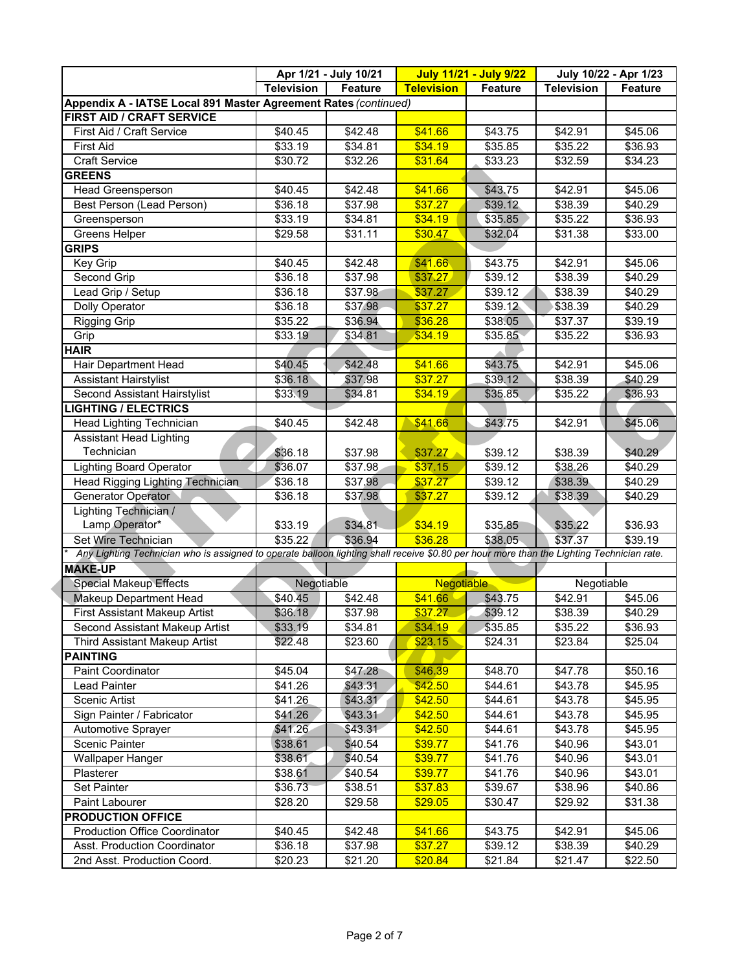|                                                                                                                                           | Apr 1/21 - July 10/21 |         | <b>July 11/21 - July 9/22</b> |         | July 10/22 - Apr 1/23 |                     |
|-------------------------------------------------------------------------------------------------------------------------------------------|-----------------------|---------|-------------------------------|---------|-----------------------|---------------------|
|                                                                                                                                           | <b>Television</b>     | Feature | <b>Television</b>             | Feature | <b>Television</b>     | <b>Feature</b>      |
| Appendix A - IATSE Local 891 Master Agreement Rates (continued)                                                                           |                       |         |                               |         |                       |                     |
| FIRST AID / CRAFT SERVICE                                                                                                                 |                       |         |                               |         |                       |                     |
| First Aid / Craft Service                                                                                                                 | \$40.45               | \$42.48 | \$41.66                       | \$43.75 | \$42.91               | \$45.06             |
| <b>First Aid</b>                                                                                                                          | \$33.19               | \$34.81 | \$34.19                       | \$35.85 | \$35.22               | \$36.93             |
| <b>Craft Service</b>                                                                                                                      | \$30.72               | \$32.26 | \$31.64                       | \$33.23 | \$32.59               | \$34.23             |
| <b>GREENS</b>                                                                                                                             |                       |         |                               |         |                       |                     |
| <b>Head Greensperson</b>                                                                                                                  | \$40.45               | \$42.48 | \$41.66                       | \$43.75 | \$42.91               | \$45.06             |
| Best Person (Lead Person)                                                                                                                 | \$36.18               | \$37.98 | \$37.27                       | \$39.12 | \$38.39               | \$40.29             |
| Greensperson                                                                                                                              | \$33.19               | \$34.81 | \$34.19                       | \$35.85 | \$35.22               | \$36.93             |
| <b>Greens Helper</b>                                                                                                                      | \$29.58               | \$31.11 | \$30.47                       | \$32.04 | \$31.38               | \$33.00             |
| <b>GRIPS</b>                                                                                                                              |                       |         |                               |         |                       |                     |
| Key Grip                                                                                                                                  | \$40.45               | \$42.48 | \$41.66                       | \$43.75 | \$42.91               | \$45.06             |
| <b>Second Grip</b>                                                                                                                        | \$36.18               | \$37.98 | \$37.27                       | \$39.12 | \$38.39               | \$40.29             |
| Lead Grip / Setup                                                                                                                         | \$36.18               | \$37.98 | \$37.27                       | \$39.12 | \$38.39               | \$40.29             |
| Dolly Operator                                                                                                                            | 36.18                 | \$37.98 | \$37.27                       | \$39.12 | \$38.39               | \$40.29             |
| <b>Rigging Grip</b>                                                                                                                       | \$35.22               | \$36.94 | \$36.28                       | \$38.05 | \$37.37               | \$39.19             |
| Grip                                                                                                                                      | \$33.19               | \$34.81 | \$34.19                       | \$35.85 | \$35.22               | $\overline{$}36.93$ |
| <b>HAIR</b>                                                                                                                               |                       |         |                               |         |                       |                     |
| Hair Department Head                                                                                                                      | \$40.45               | \$42.48 | \$41.66                       | \$43.75 | \$42.91               | \$45.06             |
| <b>Assistant Hairstylist</b>                                                                                                              | \$36.18               | \$37.98 | \$37.27                       | \$39.12 | $\overline{$}38.39$   | \$40.29             |
| Second Assistant Hairstylist                                                                                                              | \$33.19               | \$34.81 | \$34.19                       | \$35.85 | \$35.22               | \$36.93             |
| <b>LIGHTING / ELECTRICS</b>                                                                                                               |                       |         |                               |         |                       |                     |
| Head Lighting Technician                                                                                                                  | \$40.45               | \$42.48 | \$41.66                       | \$43.75 | \$42.91               | \$45.06             |
| <b>Assistant Head Lighting</b>                                                                                                            |                       |         |                               |         |                       |                     |
| Technician                                                                                                                                | \$36.18               | \$37.98 | \$37.27                       | \$39.12 | \$38.39               | \$40.29             |
| <b>Lighting Board Operator</b>                                                                                                            | \$36.07               | \$37.98 | \$37.15                       | \$39.12 | \$38.26               | \$40.29             |
| <b>Head Rigging Lighting Technician</b>                                                                                                   | \$36.18               | \$37.98 | \$37.27                       | \$39.12 | \$38.39               | \$40.29             |
| Generator Operator                                                                                                                        | \$36.18               | \$37.98 | \$37.27                       | \$39.12 | \$38.39               | \$40.29             |
| Lighting Technician /                                                                                                                     |                       |         |                               |         |                       |                     |
| Lamp Operator*                                                                                                                            | \$33.19               | \$34.81 | \$34.19                       | \$35.85 | \$35.22               | \$36.93             |
| Set Wire Technician                                                                                                                       | \$35.22               | \$36.94 | \$36.28                       | \$38.05 | \$37.37               | \$39.19             |
| Any Lighting Technician who is assigned to operate balloon lighting shall receive \$0.80 per hour more than the Lighting Technician rate. |                       |         |                               |         |                       |                     |
| <b>MAKE-UP</b>                                                                                                                            |                       |         |                               |         |                       |                     |
| <b>Special Makeup Effects</b>                                                                                                             | Negotiable            |         | <b>Negotiable</b>             |         | Negotiable            |                     |
| Makeup Department Head                                                                                                                    | \$40.45               | \$42.48 | \$41.66                       | \$43.75 | \$42.91               | \$45.06             |
| First Assistant Makeup Artist                                                                                                             | \$36.18               | \$37.98 | \$37.27                       | \$39.12 | \$38.39               | \$40.29             |
| Second Assistant Makeup Artist                                                                                                            | \$33.19               | \$34.81 | \$34.19                       | \$35.85 | \$35.22               | \$36.93             |
| Third Assistant Makeup Artist                                                                                                             | \$22.48               | \$23.60 | \$23.15                       | \$24.31 | \$23.84               | \$25.04             |
| <b>PAINTING</b>                                                                                                                           |                       |         |                               |         |                       |                     |
| <b>Paint Coordinator</b>                                                                                                                  | \$45.04               | \$47.28 | \$46.39                       | \$48.70 | \$47.78               | \$50.16             |
| Lead Painter                                                                                                                              | \$41.26               | \$43.31 | \$42.50                       | \$44.61 | \$43.78               | \$45.95             |
| Scenic Artist                                                                                                                             | \$41.26               | \$43.31 | \$42.50                       | \$44.61 | \$43.78               | \$45.95             |
| Sign Painter / Fabricator                                                                                                                 | \$41.26               | \$43.31 | \$42.50                       | \$44.61 | \$43.78               | \$45.95             |
| Automotive Sprayer                                                                                                                        | \$41.26               | \$43.31 | \$42.50                       | \$44.61 | \$43.78               | \$45.95             |
| Scenic Painter                                                                                                                            | \$38.61               | \$40.54 | \$39.77                       | \$41.76 | \$40.96               | \$43.01             |
| Wallpaper Hanger                                                                                                                          | \$38.61               | \$40.54 | \$39.77                       | \$41.76 | \$40.96               | \$43.01             |
| Plasterer                                                                                                                                 | \$38.61               | \$40.54 | \$39.77                       | \$41.76 | \$40.96               | \$43.01             |
| Set Painter                                                                                                                               | \$36.73               | \$38.51 | \$37.83                       | \$39.67 | \$38.96               | \$40.86             |
| Paint Labourer                                                                                                                            | \$28.20               | \$29.58 | \$29.05                       | \$30.47 | \$29.92               | \$31.38             |
| <b>PRODUCTION OFFICE</b>                                                                                                                  |                       |         |                               |         |                       |                     |
| <b>Production Office Coordinator</b>                                                                                                      | \$40.45               | \$42.48 | \$41.66                       | \$43.75 | \$42.91               | \$45.06             |
| Asst. Production Coordinator                                                                                                              | \$36.18               | \$37.98 | \$37.27                       | \$39.12 | \$38.39               | \$40.29             |
| 2nd Asst. Production Coord.                                                                                                               | \$20.23               | \$21.20 | \$20.84                       | \$21.84 | \$21.47               | \$22.50             |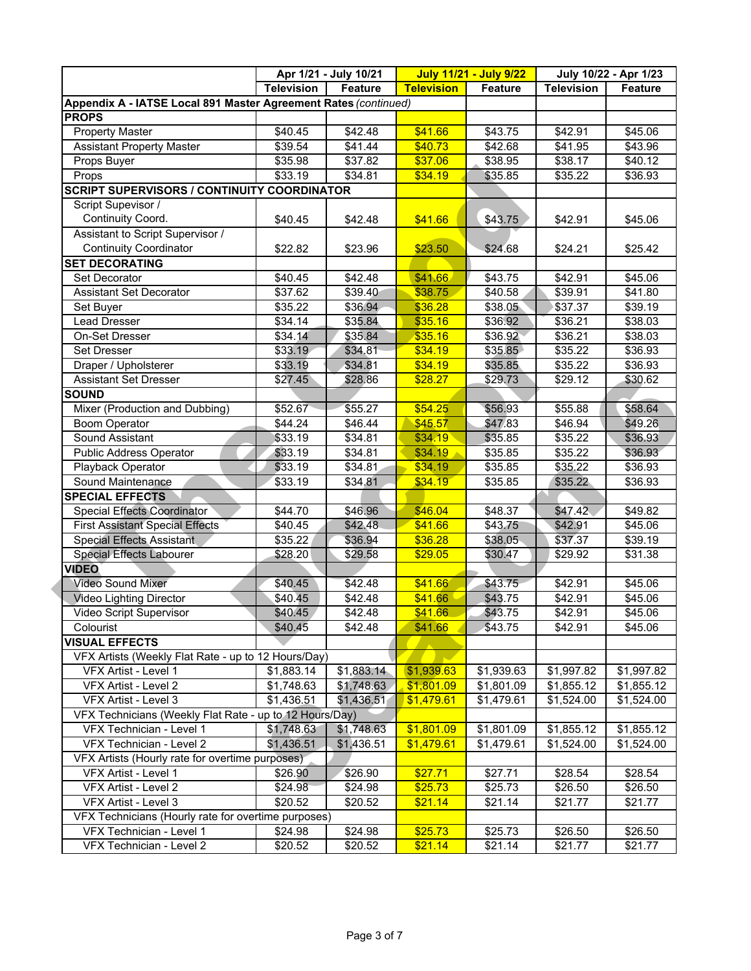|                                                                 |                   | Apr 1/21 - July 10/21 |                   | <b>July 11/21 - July 9/22</b> |                     | July 10/22 - Apr 1/23 |
|-----------------------------------------------------------------|-------------------|-----------------------|-------------------|-------------------------------|---------------------|-----------------------|
|                                                                 | <b>Television</b> | <b>Feature</b>        | <b>Television</b> | <b>Feature</b>                | <b>Television</b>   | Feature               |
| Appendix A - IATSE Local 891 Master Agreement Rates (continued) |                   |                       |                   |                               |                     |                       |
| <b>PROPS</b>                                                    |                   |                       |                   |                               |                     |                       |
| <b>Property Master</b>                                          | \$40.45           | \$42.48               | \$41.66           | \$43.75                       | \$42.91             | \$45.06               |
| <b>Assistant Property Master</b>                                | \$39.54           | \$41.44               | \$40.73           | \$42.68                       | $\overline{$41.95}$ | \$43.96               |
| Props Buyer                                                     | \$35.98           | \$37.82               | \$37.06           | \$38.95                       | $\overline{$}38.17$ | \$40.12               |
| Props                                                           | \$33.19           | \$34.81               | \$34.19           | \$35.85                       | \$35.22             | \$36.93               |
| <b>SCRIPT SUPERVISORS / CONTINUITY COORDINATOR</b>              |                   |                       |                   |                               |                     |                       |
| Script Supevisor /                                              |                   |                       |                   |                               |                     |                       |
| Continuity Coord.                                               | \$40.45           | \$42.48               | \$41.66           | \$43.75                       | \$42.91             | \$45.06               |
| Assistant to Script Supervisor /                                |                   |                       |                   |                               |                     |                       |
| <b>Continuity Coordinator</b>                                   | \$22.82           | \$23.96               | \$23.50           | \$24.68                       | \$24.21             | \$25.42               |
| <b>SET DECORATING</b>                                           |                   |                       |                   |                               |                     |                       |
| Set Decorator                                                   | \$40.45           | \$42.48               | \$41.66           | \$43.75                       | \$42.91             | \$45.06               |
| <b>Assistant Set Decorator</b>                                  | \$37.62           | \$39.40               | \$38.75           | \$40.58                       | \$39.91             | \$41.80               |
| Set Buyer                                                       | \$35.22           | \$36.94               | \$36.28           | \$38.05                       | \$37.37             | \$39.19               |
| Lead Dresser                                                    | \$34.14           | \$35.84               | \$35.16           | \$36.92                       | \$36.21             | \$38.03               |
| On-Set Dresser                                                  | \$34.14           | \$35.84               | \$35.16           | \$36.92                       | \$36.21             | \$38.03               |
| Set Dresser                                                     | \$33.19           | \$34.81               | \$34.19           | \$35.85                       | $\overline{$}35.22$ | $\overline{$}36.93$   |
| Draper / Upholsterer                                            | \$33.19           | \$34.81               | \$34.19           | \$35.85                       | \$35.22             | \$36.93               |
| <b>Assistant Set Dresser</b>                                    | \$27.45           | \$28.86               | \$28.27           | \$29.73                       | \$29.12             | \$30.62               |
| <b>SOUND</b>                                                    |                   |                       |                   |                               |                     |                       |
| Mixer (Production and Dubbing)                                  | \$52.67           | \$55.27               | \$54.25           | \$56.93                       | \$55.88             | \$58.64               |
| <b>Boom Operator</b>                                            | \$44.24           | \$46.44               | \$45.57           | \$47.83                       | \$46.94             | \$49.26               |
| Sound Assistant                                                 | \$33.19           | \$34.81               | \$34.19           | \$35.85                       | \$35.22             | \$36.93               |
| <b>Public Address Operator</b>                                  | \$33.19           | \$34.81               | \$34.19           | \$35.85                       | \$35.22             | \$36.93               |
| Playback Operator                                               | \$33.19           | \$34.81               | \$34.19           | \$35.85                       | \$35.22             | \$36.93               |
| Sound Maintenance                                               | \$33.19           | \$34.81               | \$34.19           | \$35.85                       | \$35.22             | \$36.93               |
| <b>SPECIAL EFFECTS</b>                                          |                   |                       |                   |                               |                     |                       |
| <b>Special Effects Coordinator</b>                              | \$44.70           | \$46.96               | \$46.04           | \$48.37                       | \$47.42             | \$49.82               |
| <b>First Assistant Special Effects</b>                          | \$40.45           | \$42.48               | \$41.66           | \$43.75                       | \$42.91             | \$45.06               |
| <b>Special Effects Assistant</b>                                | \$35.22           | \$36.94               | \$36.28           | \$38.05                       | \$37.37             | \$39.19               |
| <b>Special Effects Labourer</b>                                 | \$28.20           | \$29.58               | \$29.05           | \$30.47                       | \$29.92             | \$31.38               |
| <b>VIDEO</b>                                                    |                   |                       |                   |                               |                     |                       |
| <b>Video Sound Mixer</b>                                        | \$40.45           | \$42.48               | \$41.66           | \$43.75                       | \$42.91             | $\sqrt{$45.06}$       |
| Video Lighting Director                                         | \$40.45           | \$42.48               | \$41.66           | \$43.75                       | \$42.91             | \$45.06               |
| Video Script Supervisor                                         | \$40.45           | \$42.48               | \$41.66           | \$43.75                       | \$42.91             | \$45.06               |
| Colourist                                                       | \$40.45           | \$42.48               | \$41.66           | \$43.75                       | \$42.91             | \$45.06               |
| <b>VISUAL EFFECTS</b>                                           |                   |                       |                   |                               |                     |                       |
| VFX Artists (Weekly Flat Rate - up to 12 Hours/Day)             |                   |                       |                   |                               |                     |                       |
| VFX Artist - Level 1                                            | \$1,883.14        | \$1,883.14            | \$1,939.63        | \$1,939.63                    | \$1,997.82          | \$1,997.82            |
| VFX Artist - Level 2                                            | \$1,748.63        | \$1,748.63            | \$1,801.09        | \$1,801.09                    | \$1,855.12          | \$1,855.12            |
| VFX Artist - Level 3                                            | \$1,436.51        | \$1,436.51            | \$1,479.61        | \$1,479.61                    | \$1,524.00          | \$1,524.00            |
| VFX Technicians (Weekly Flat Rate - up to 12 Hours/Day)         |                   |                       |                   |                               |                     |                       |
| VFX Technician - Level 1                                        | \$1,748.63        | \$1,748.63            | \$1,801.09        | \$1,801.09                    | \$1,855.12          | \$1,855.12            |
| VFX Technician - Level 2                                        | \$1,436.51        | \$1,436.51            | \$1,479.61        | \$1,479.61                    | \$1,524.00          | \$1,524.00            |
| VFX Artists (Hourly rate for overtime purposes)                 |                   |                       |                   |                               |                     |                       |
| VFX Artist - Level 1                                            | \$26.90           | \$26.90               | \$27.71           | \$27.71                       | \$28.54             | \$28.54               |
| VFX Artist - Level 2                                            | \$24.98           | \$24.98               | \$25.73           | \$25.73                       | \$26.50             | \$26.50               |
| VFX Artist - Level 3                                            | \$20.52           | \$20.52               | \$21.14           | \$21.14                       | \$21.77             | \$21.77               |
| VFX Technicians (Hourly rate for overtime purposes)             |                   |                       |                   |                               |                     |                       |
| VFX Technician - Level 1                                        | \$24.98           | \$24.98               | \$25.73           | \$25.73                       | \$26.50             | \$26.50               |
| VFX Technician - Level 2                                        | \$20.52           | \$20.52               | \$21.14           | \$21.14                       | \$21.77             | \$21.77               |